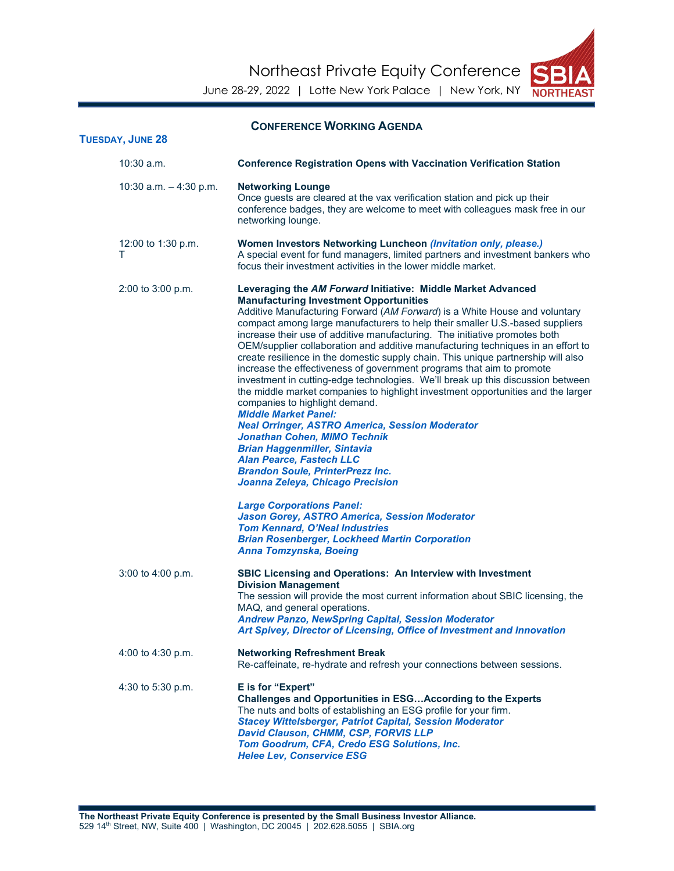Northeast Private Equity Conference



June 28-29, 2022 | Lotte New York Palace | New York, NY NORTHE

| <b>CONFERENCE WORKING AGENDA</b><br><b>TUESDAY, JUNE 28</b> |                                                                                                                                                                                                                                                                                                                                                                                                                                                                                                                                                                                                                                                                                                                                                                                                                                                                                                                                                                                                                                                                                                                                                                                                                                                                                                                                |  |
|-------------------------------------------------------------|--------------------------------------------------------------------------------------------------------------------------------------------------------------------------------------------------------------------------------------------------------------------------------------------------------------------------------------------------------------------------------------------------------------------------------------------------------------------------------------------------------------------------------------------------------------------------------------------------------------------------------------------------------------------------------------------------------------------------------------------------------------------------------------------------------------------------------------------------------------------------------------------------------------------------------------------------------------------------------------------------------------------------------------------------------------------------------------------------------------------------------------------------------------------------------------------------------------------------------------------------------------------------------------------------------------------------------|--|
| $10:30$ a.m.                                                | <b>Conference Registration Opens with Vaccination Verification Station</b>                                                                                                                                                                                                                                                                                                                                                                                                                                                                                                                                                                                                                                                                                                                                                                                                                                                                                                                                                                                                                                                                                                                                                                                                                                                     |  |
| 10:30 a.m. $-4:30$ p.m.                                     | <b>Networking Lounge</b><br>Once guests are cleared at the vax verification station and pick up their<br>conference badges, they are welcome to meet with colleagues mask free in our<br>networking lounge.                                                                                                                                                                                                                                                                                                                                                                                                                                                                                                                                                                                                                                                                                                                                                                                                                                                                                                                                                                                                                                                                                                                    |  |
| 12:00 to 1:30 p.m.<br>т                                     | Women Investors Networking Luncheon (Invitation only, please.)<br>A special event for fund managers, limited partners and investment bankers who<br>focus their investment activities in the lower middle market.                                                                                                                                                                                                                                                                                                                                                                                                                                                                                                                                                                                                                                                                                                                                                                                                                                                                                                                                                                                                                                                                                                              |  |
| 2:00 to 3:00 p.m.                                           | Leveraging the AM Forward Initiative: Middle Market Advanced<br><b>Manufacturing Investment Opportunities</b><br>Additive Manufacturing Forward (AM Forward) is a White House and voluntary<br>compact among large manufacturers to help their smaller U.S.-based suppliers<br>increase their use of additive manufacturing. The initiative promotes both<br>OEM/supplier collaboration and additive manufacturing techniques in an effort to<br>create resilience in the domestic supply chain. This unique partnership will also<br>increase the effectiveness of government programs that aim to promote<br>investment in cutting-edge technologies. We'll break up this discussion between<br>the middle market companies to highlight investment opportunities and the larger<br>companies to highlight demand.<br><b>Middle Market Panel:</b><br><b>Neal Orringer, ASTRO America, Session Moderator</b><br><b>Jonathan Cohen, MIMO Technik</b><br><b>Brian Haggenmiller, Sintavia</b><br><b>Alan Pearce, Fastech LLC</b><br><b>Brandon Soule, PrinterPrezz Inc.</b><br>Joanna Zeleya, Chicago Precision<br><b>Large Corporations Panel:</b><br>Jason Gorey, ASTRO America, Session Moderator<br><b>Tom Kennard, O'Neal Industries</b><br><b>Brian Rosenberger, Lockheed Martin Corporation</b><br>Anna Tomzynska, Boeing |  |
| 3:00 to 4:00 p.m.                                           | <b>SBIC Licensing and Operations: An Interview with Investment</b><br><b>Division Management</b><br>The session will provide the most current information about SBIC licensing, the<br>MAQ, and general operations.<br><b>Andrew Panzo, NewSpring Capital, Session Moderator</b><br>Art Spivey, Director of Licensing, Office of Investment and Innovation                                                                                                                                                                                                                                                                                                                                                                                                                                                                                                                                                                                                                                                                                                                                                                                                                                                                                                                                                                     |  |
| 4:00 to 4:30 p.m.                                           | <b>Networking Refreshment Break</b><br>Re-caffeinate, re-hydrate and refresh your connections between sessions.                                                                                                                                                                                                                                                                                                                                                                                                                                                                                                                                                                                                                                                                                                                                                                                                                                                                                                                                                                                                                                                                                                                                                                                                                |  |
| 4:30 to 5:30 p.m.                                           | E is for "Expert"<br>Challenges and Opportunities in ESG According to the Experts<br>The nuts and bolts of establishing an ESG profile for your firm.<br><b>Stacey Wittelsberger, Patriot Capital, Session Moderator</b><br>David Clauson, CHMM, CSP, FORVIS LLP<br>Tom Goodrum, CFA, Credo ESG Solutions, Inc.<br><b>Helee Lev, Conservice ESG</b>                                                                                                                                                                                                                                                                                                                                                                                                                                                                                                                                                                                                                                                                                                                                                                                                                                                                                                                                                                            |  |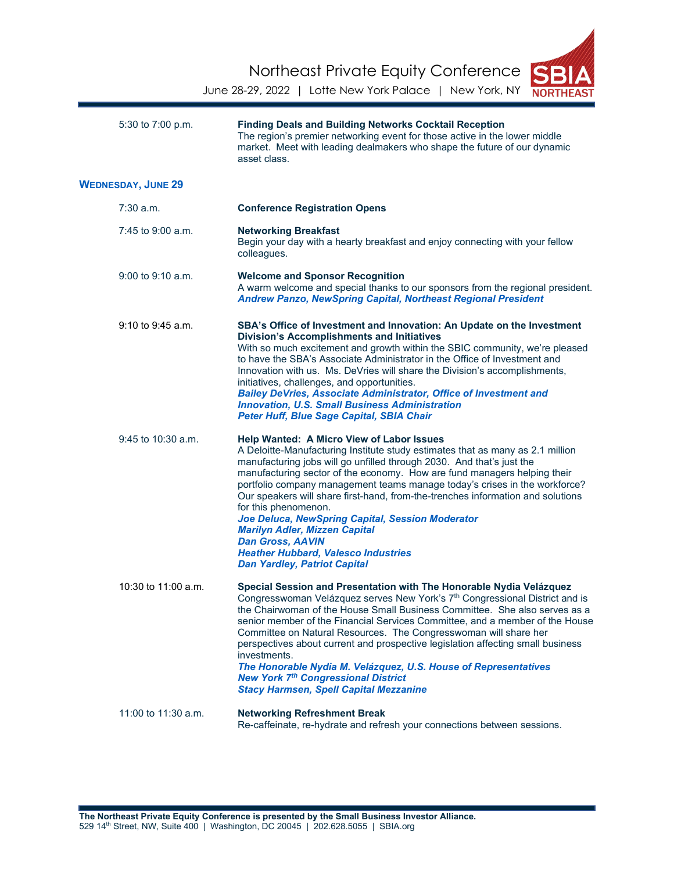Northeast Private Equity Conference



June 28-29, 2022 | Lotte New York Palace | New York, NY

| 5:30 to 7:00 p.m.         | <b>Finding Deals and Building Networks Cocktail Reception</b><br>The region's premier networking event for those active in the lower middle<br>market. Meet with leading dealmakers who shape the future of our dynamic<br>asset class.                                                                                                                                                                                                                                                                                                                                                                                                                                                      |
|---------------------------|----------------------------------------------------------------------------------------------------------------------------------------------------------------------------------------------------------------------------------------------------------------------------------------------------------------------------------------------------------------------------------------------------------------------------------------------------------------------------------------------------------------------------------------------------------------------------------------------------------------------------------------------------------------------------------------------|
| <b>WEDNESDAY, JUNE 29</b> |                                                                                                                                                                                                                                                                                                                                                                                                                                                                                                                                                                                                                                                                                              |
| 7:30 a.m.                 | <b>Conference Registration Opens</b>                                                                                                                                                                                                                                                                                                                                                                                                                                                                                                                                                                                                                                                         |
| 7:45 to 9:00 a.m.         | <b>Networking Breakfast</b><br>Begin your day with a hearty breakfast and enjoy connecting with your fellow<br>colleagues.                                                                                                                                                                                                                                                                                                                                                                                                                                                                                                                                                                   |
| $9:00$ to $9:10$ a.m.     | <b>Welcome and Sponsor Recognition</b><br>A warm welcome and special thanks to our sponsors from the regional president.<br><b>Andrew Panzo, NewSpring Capital, Northeast Regional President</b>                                                                                                                                                                                                                                                                                                                                                                                                                                                                                             |
| $9:10$ to $9:45$ a.m.     | SBA's Office of Investment and Innovation: An Update on the Investment<br><b>Division's Accomplishments and Initiatives</b><br>With so much excitement and growth within the SBIC community, we're pleased<br>to have the SBA's Associate Administrator in the Office of Investment and<br>Innovation with us. Ms. DeVries will share the Division's accomplishments,<br>initiatives, challenges, and opportunities.<br><b>Bailey DeVries, Associate Administrator, Office of Investment and</b><br><b>Innovation, U.S. Small Business Administration</b><br>Peter Huff, Blue Sage Capital, SBIA Chair                                                                                       |
| 9:45 to 10:30 a.m.        | <b>Help Wanted: A Micro View of Labor Issues</b><br>A Deloitte-Manufacturing Institute study estimates that as many as 2.1 million<br>manufacturing jobs will go unfilled through 2030. And that's just the<br>manufacturing sector of the economy. How are fund managers helping their<br>portfolio company management teams manage today's crises in the workforce?<br>Our speakers will share first-hand, from-the-trenches information and solutions<br>for this phenomenon.<br>Joe Deluca, NewSpring Capital, Session Moderator<br><b>Marilyn Adler, Mizzen Capital</b><br><b>Dan Gross, AAVIN</b><br><b>Heather Hubbard, Valesco Industries</b><br><b>Dan Yardley, Patriot Capital</b> |
| 10:30 to $11:00$ a.m.     | Special Session and Presentation with The Honorable Nydia Velázquez<br>Congresswoman Velázquez serves New York's 7 <sup>th</sup> Congressional District and is<br>the Chairwoman of the House Small Business Committee. She also serves as a<br>senior member of the Financial Services Committee, and a member of the House<br>Committee on Natural Resources. The Congresswoman will share her<br>perspectives about current and prospective legislation affecting small business<br>investments.<br>The Honorable Nydia M. Velázquez, U.S. House of Representatives<br><b>New York 7th Congressional District</b><br><b>Stacy Harmsen, Spell Capital Mezzanine</b>                        |
| 11:00 to 11:30 a.m.       | <b>Networking Refreshment Break</b><br>Re-caffeinate, re-hydrate and refresh your connections between sessions.                                                                                                                                                                                                                                                                                                                                                                                                                                                                                                                                                                              |